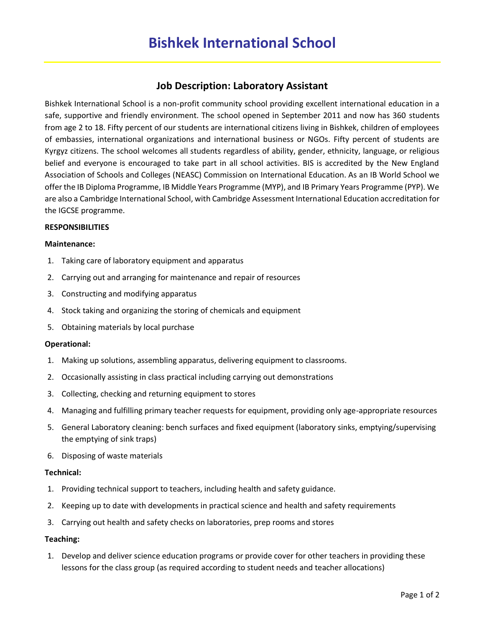# **Job Description: Laboratory Assistant**

Bishkek International School is a non-profit community school providing excellent international education in a safe, supportive and friendly environment. The school opened in September 2011 and now has 360 students from age 2 to 18. Fifty percent of our students are international citizens living in Bishkek, children of employees of embassies, international organizations and international business or NGOs. Fifty percent of students are Kyrgyz citizens. The school welcomes all students regardless of ability, gender, ethnicity, language, or religious belief and everyone is encouraged to take part in all school activities. BIS is accredited by the New England Association of Schools and Colleges (NEASC) Commission on International Education. As an IB World School we offer the IB Diploma Programme, IB Middle Years Programme (MYP), and IB Primary Years Programme (PYP). We are also a Cambridge International School, with Cambridge Assessment International Education accreditation for the IGCSE programme.

## **RESPONSIBILITIES**

#### **Maintenance:**

- 1. Taking care of laboratory equipment and apparatus
- 2. Carrying out and arranging for maintenance and repair of resources
- 3. Constructing and modifying apparatus
- 4. Stock taking and organizing the storing of chemicals and equipment
- 5. Obtaining materials by local purchase

#### **Operational:**

- 1. Making up solutions, assembling apparatus, delivering equipment to classrooms.
- 2. Occasionally assisting in class practical including carrying out demonstrations
- 3. Collecting, checking and returning equipment to stores
- 4. Managing and fulfilling primary teacher requests for equipment, providing only age-appropriate resources
- 5. General Laboratory cleaning: bench surfaces and fixed equipment (laboratory sinks, emptying/supervising the emptying of sink traps)
- 6. Disposing of waste materials

#### **Technical:**

- 1. Providing technical support to teachers, including health and safety guidance.
- 2. Keeping up to date with developments in practical science and health and safety requirements
- 3. Carrying out health and safety checks on laboratories, prep rooms and stores

#### **Teaching:**

1. Develop and deliver science education programs or provide cover for other teachers in providing these lessons for the class group (as required according to student needs and teacher allocations)